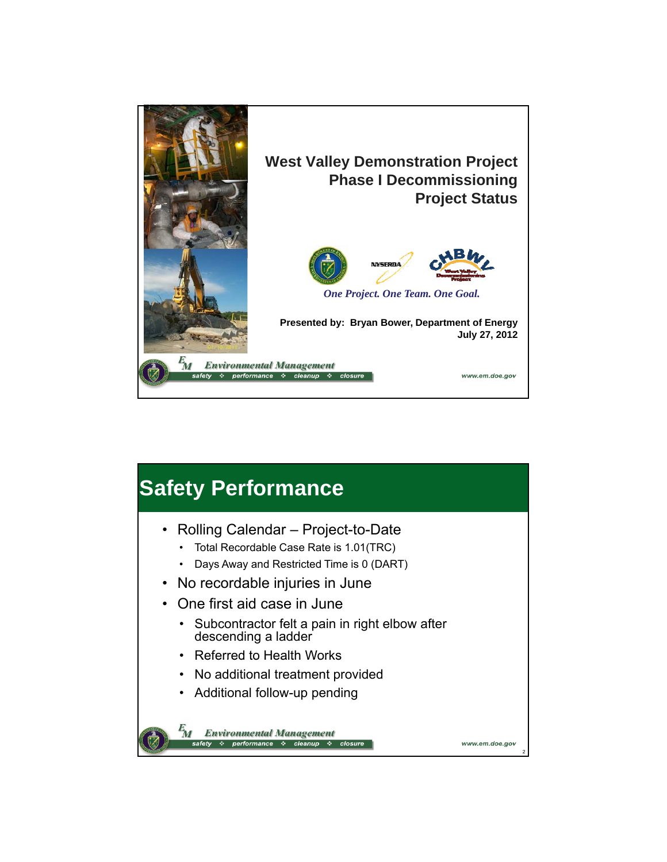

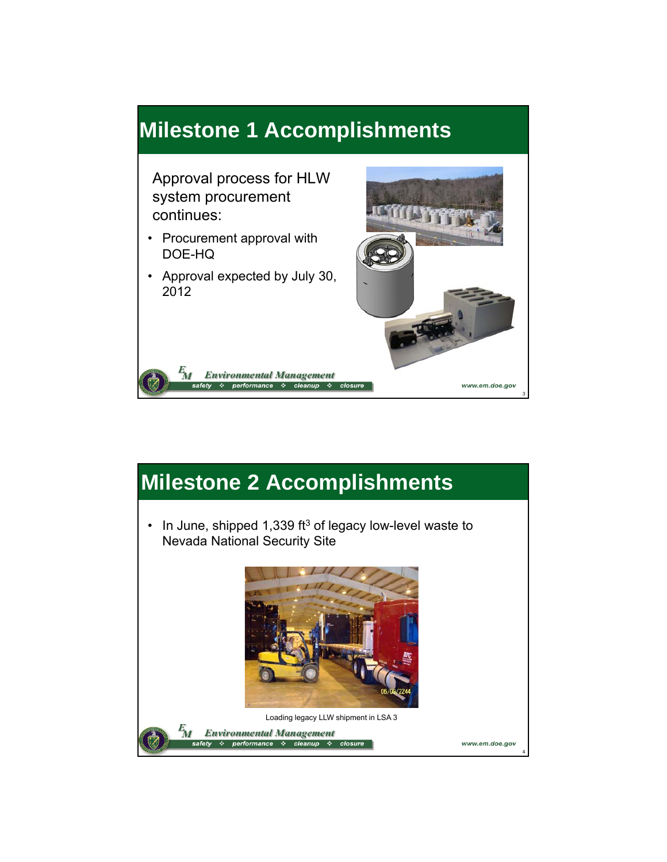### **Milestone 1 Accomplishments**

Approval process for HLW system procurement continues:

• Procurement approval with DOE-HQ

 $\frac{E}{M}$ 

• Approval expected by July 30, 2012

**Environmental Management** 



### **Milestone 2 Accomplishments**

• In June, shipped 1,339 ft<sup>3</sup> of legacy low-level waste to Nevada National Security Site

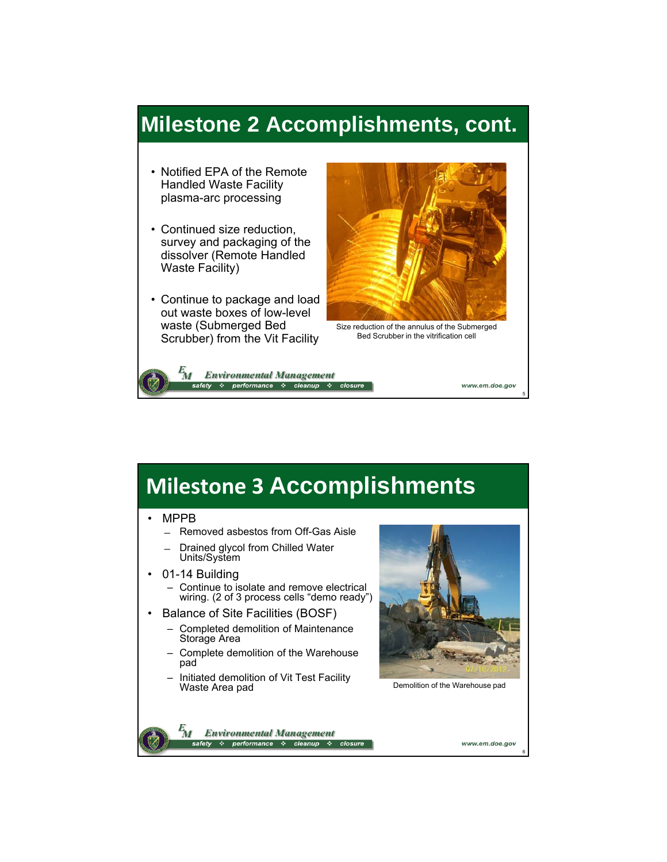### **Milestone 2 Accomplishments, cont.**

- Notified EPA of the Remote Handled Waste Facility plasma-arc processing
- Continued size reduction, survey and packaging of the dissolver (Remote Handled Waste Facility)
- Continue to package and load out waste boxes of low-level waste (Submerged Bed Scrubber) from the Vit Facility



Size reduction of the annulus of the Submerged Bed Scrubber in the vitrification cell

**Environmental Management** M performance \* cleanup

# **Milestone 3 Accomplishments**

#### • MPPB

- ̶ Removed asbestos from Off-Gas Aisle
- ̶ Drained glycol from Chilled Water Units/System
- 01-14 Building – Continue to isolate and remove electrical wiring. (2 of 3 process cells "demo ready")
- Balance of Site Facilities (BOSF)
	- Completed demolition of Maintenance Storage Area
	- Complete demolition of the Warehouse pad
	- Initiated demolition of Vit Test Facility Waste Area pad



Demolition of the Warehouse pad

 $\mathbf{z}_{M}$ **Environmental Management** ❖ performance ❖ cleanup

www.em.doe.gov

6

5

www.em.doe.gov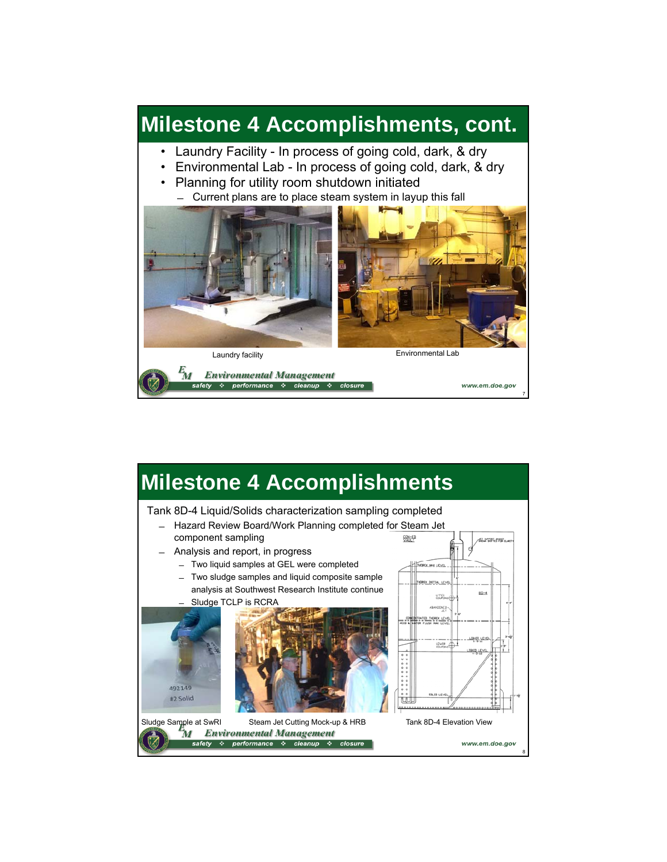### **Milestone 4 Accomplishments, cont.**

- Laundry Facility In process of going cold, dark, & dry
- Environmental Lab In process of going cold, dark, & dry
- Planning for utility room shutdown initiated ̶ Current plans are to place steam system in layup this fall



7

#### **Milestone 4 Accomplishments** Tank 8D-4 Liquid/Solids characterization sampling completed ̶ Hazard Review Board/Work Planning completed for Steam Jet component sampling CON-ED **AL BRYST, MRST** ̶ Analysis and report, in progress ̶ Two liquid samples at GEL were completed **BEX HAX LEVEL** ̶ Two sludge samples and liquid composite sample analysis at Southwest Research Institute continue  $8D-4$ Sludge TCLP is RCRA **DREX\_LEV** LOVER 492149 #2 Solid Sludge Sample at SwRI Steam Jet Cutting Mock-up & HRB Tank 8D-4 Elevation View **Environmental Management** M ❖ performance ❖ cleanup ❖ closure www.em.doe.gov 8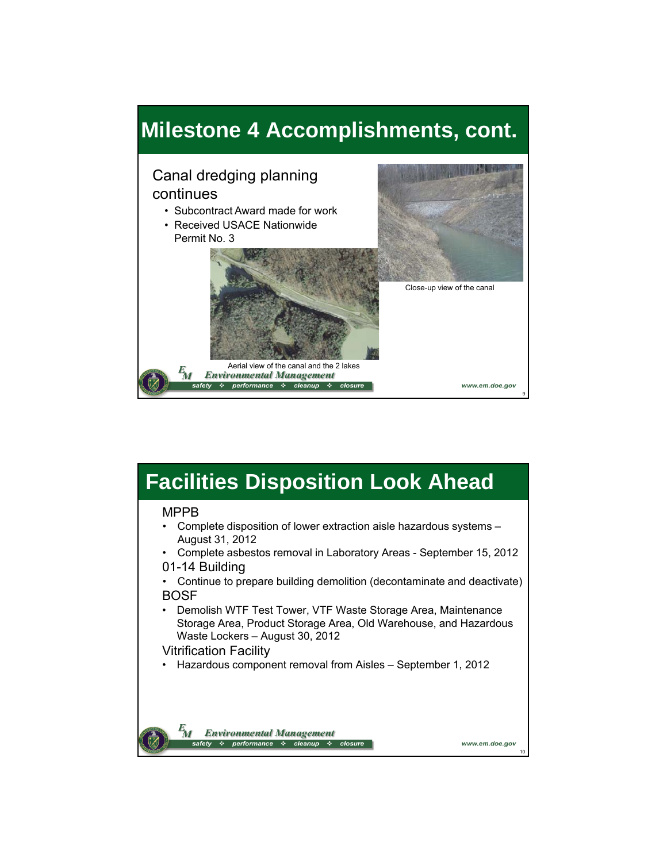

## **Facilities Disposition Look Ahead**

#### MPPB

- Complete disposition of lower extraction aisle hazardous systems August 31, 2012
- Complete asbestos removal in Laboratory Areas September 15, 2012 01-14 Building
- Continue to prepare building demolition (decontaminate and deactivate) BOSF
- Demolish WTF Test Tower, VTF Waste Storage Area, Maintenance Storage Area, Product Storage Area, Old Warehouse, and Hazardous Waste Lockers – August 30, 2012

10

www.em.doe.gov

#### Vitrification Facility

• Hazardous component removal from Aisles – September 1, 2012